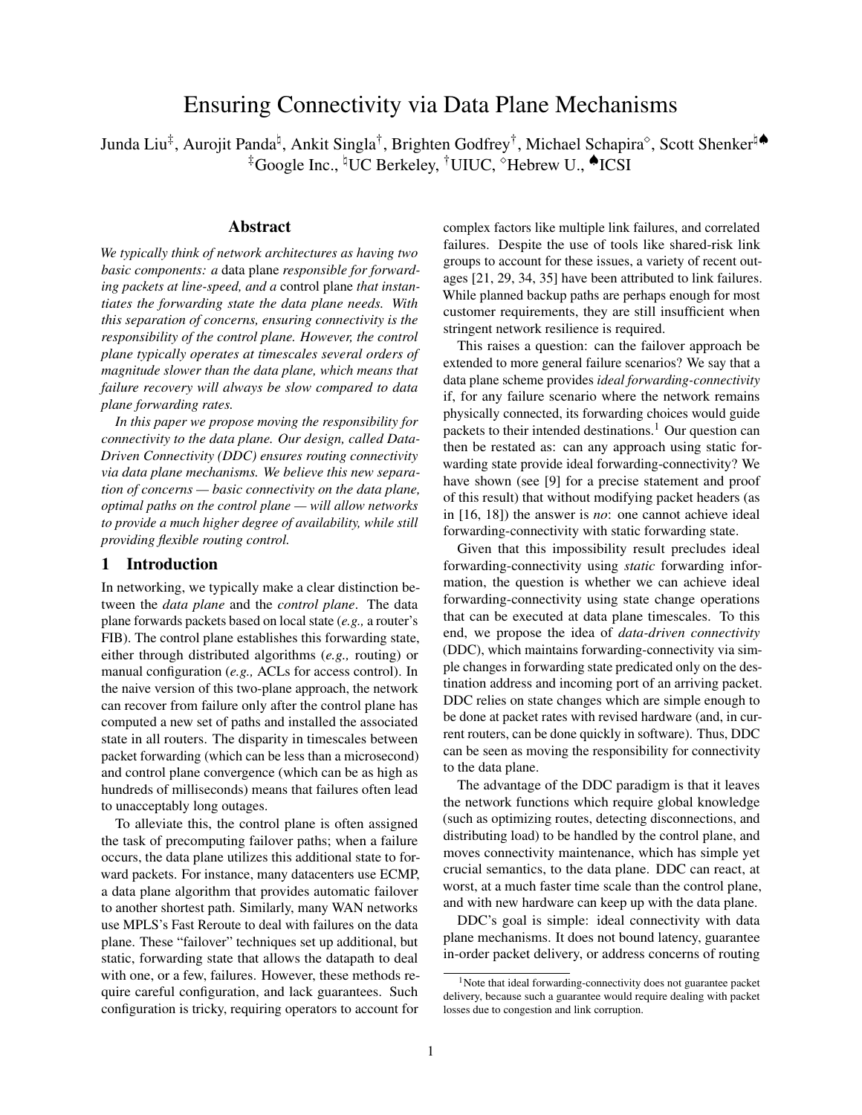# Ensuring Connectivity via Data Plane Mechanisms

Junda Liu‡, Aurojit Panda<sup>ḥ</sup>, Ankit Singla†, Brighten Godfrey†, Michael Schapira°, Scott Shenkerʰ� ‡Google Inc., ʰUC Berkeley, †UIUC, °Hebrew U., ♦ICSI

# Abstract

*We typically think of network architectures as having two basic components: a* data plane *responsible for forwarding packets at line-speed, and a* control plane *that instantiates the forwarding state the data plane needs. With this separation of concerns, ensuring connectivity is the responsibility of the control plane. However, the control plane typically operates at timescales several orders of magnitude slower than the data plane, which means that failure recovery will always be slow compared to data plane forwarding rates.*

*In this paper we propose moving the responsibility for connectivity to the data plane. Our design, called Data-Driven Connectivity (DDC) ensures routing connectivity via data plane mechanisms. We believe this new separation of concerns — basic connectivity on the data plane, optimal paths on the control plane — will allow networks to provide a much higher degree of availability, while still providing flexible routing control.*

# 1 Introduction

In networking, we typically make a clear distinction between the *data plane* and the *control plane*. The data plane forwards packets based on local state (*e.g.,* a router's FIB). The control plane establishes this forwarding state, either through distributed algorithms (*e.g.,* routing) or manual configuration (*e.g.,* ACLs for access control). In the naive version of this two-plane approach, the network can recover from failure only after the control plane has computed a new set of paths and installed the associated state in all routers. The disparity in timescales between packet forwarding (which can be less than a microsecond) and control plane convergence (which can be as high as hundreds of milliseconds) means that failures often lead to unacceptably long outages.

To alleviate this, the control plane is often assigned the task of precomputing failover paths; when a failure occurs, the data plane utilizes this additional state to forward packets. For instance, many datacenters use ECMP, a data plane algorithm that provides automatic failover to another shortest path. Similarly, many WAN networks use MPLS's Fast Reroute to deal with failures on the data plane. These "failover" techniques set up additional, but static, forwarding state that allows the datapath to deal with one, or a few, failures. However, these methods require careful configuration, and lack guarantees. Such configuration is tricky, requiring operators to account for

complex factors like multiple link failures, and correlated failures. Despite the use of tools like shared-risk link groups to account for these issues, a variety of recent outages [\[21,](#page-12-0) [29,](#page-13-0) [34,](#page-13-1) [35\]](#page-13-2) have been attributed to link failures. While planned backup paths are perhaps enough for most customer requirements, they are still insufficient when stringent network resilience is required.

This raises a question: can the failover approach be extended to more general failure scenarios? We say that a data plane scheme provides *ideal forwarding-connectivity* if, for any failure scenario where the network remains physically connected, its forwarding choices would guide packets to their intended destinations.<sup>[1](#page-0-0)</sup> Our question can then be restated as: can any approach using static forwarding state provide ideal forwarding-connectivity? We have shown (see [\[9\]](#page-12-1) for a precise statement and proof of this result) that without modifying packet headers (as in [\[16,](#page-12-2) [18\]](#page-12-3)) the answer is *no*: one cannot achieve ideal forwarding-connectivity with static forwarding state.

Given that this impossibility result precludes ideal forwarding-connectivity using *static* forwarding information, the question is whether we can achieve ideal forwarding-connectivity using state change operations that can be executed at data plane timescales. To this end, we propose the idea of *data-driven connectivity* (DDC), which maintains forwarding-connectivity via simple changes in forwarding state predicated only on the destination address and incoming port of an arriving packet. DDC relies on state changes which are simple enough to be done at packet rates with revised hardware (and, in current routers, can be done quickly in software). Thus, DDC can be seen as moving the responsibility for connectivity to the data plane.

The advantage of the DDC paradigm is that it leaves the network functions which require global knowledge (such as optimizing routes, detecting disconnections, and distributing load) to be handled by the control plane, and moves connectivity maintenance, which has simple yet crucial semantics, to the data plane. DDC can react, at worst, at a much faster time scale than the control plane, and with new hardware can keep up with the data plane.

DDC's goal is simple: ideal connectivity with data plane mechanisms. It does not bound latency, guarantee in-order packet delivery, or address concerns of routing

<span id="page-0-0"></span><sup>1</sup>Note that ideal forwarding-connectivity does not guarantee packet delivery, because such a guarantee would require dealing with packet losses due to congestion and link corruption.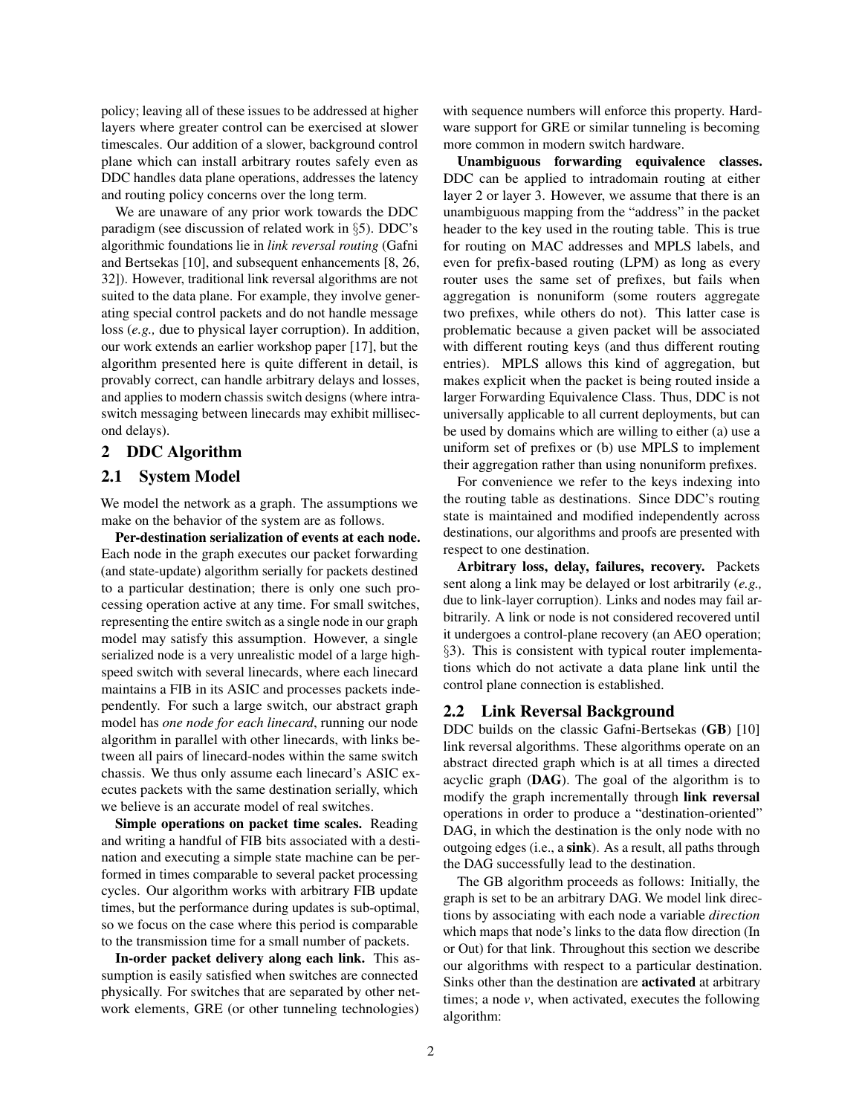policy; leaving all of these issues to be addressed at higher layers where greater control can be exercised at slower timescales. Our addition of a slower, background control plane which can install arbitrary routes safely even as DDC handles data plane operations, addresses the latency and routing policy concerns over the long term.

We are unaware of any prior work towards the DDC paradigm (see discussion of related work in *§*[5\)](#page-8-0). DDC's algorithmic foundations lie in *link reversal routing* (Gafni and Bertsekas [\[10\]](#page-12-4), and subsequent enhancements [\[8,](#page-12-5) [26,](#page-13-3) [32\]](#page-13-4)). However, traditional link reversal algorithms are not suited to the data plane. For example, they involve generating special control packets and do not handle message loss (*e.g.,* due to physical layer corruption). In addition, our work extends an earlier workshop paper [\[17\]](#page-12-6), but the algorithm presented here is quite different in detail, is provably correct, can handle arbitrary delays and losses, and applies to modern chassis switch designs (where intraswitch messaging between linecards may exhibit millisecond delays).

# <span id="page-1-0"></span>2 DDC Algorithm

# 2.1 System Model

We model the network as a graph. The assumptions we make on the behavior of the system are as follows.

Per-destination serialization of events at each node. Each node in the graph executes our packet forwarding (and state-update) algorithm serially for packets destined to a particular destination; there is only one such processing operation active at any time. For small switches, representing the entire switch as a single node in our graph model may satisfy this assumption. However, a single serialized node is a very unrealistic model of a large highspeed switch with several linecards, where each linecard maintains a FIB in its ASIC and processes packets independently. For such a large switch, our abstract graph model has *one node for each linecard*, running our node algorithm in parallel with other linecards, with links between all pairs of linecard-nodes within the same switch chassis. We thus only assume each linecard's ASIC executes packets with the same destination serially, which we believe is an accurate model of real switches.

Simple operations on packet time scales. Reading and writing a handful of FIB bits associated with a destination and executing a simple state machine can be performed in times comparable to several packet processing cycles. Our algorithm works with arbitrary FIB update times, but the performance during updates is sub-optimal, so we focus on the case where this period is comparable to the transmission time for a small number of packets.

In-order packet delivery along each link. This assumption is easily satisfied when switches are connected physically. For switches that are separated by other network elements, GRE (or other tunneling technologies)

with sequence numbers will enforce this property. Hardware support for GRE or similar tunneling is becoming more common in modern switch hardware.

Unambiguous forwarding equivalence classes. DDC can be applied to intradomain routing at either layer 2 or layer 3. However, we assume that there is an unambiguous mapping from the "address" in the packet header to the key used in the routing table. This is true for routing on MAC addresses and MPLS labels, and even for prefix-based routing (LPM) as long as every router uses the same set of prefixes, but fails when aggregation is nonuniform (some routers aggregate two prefixes, while others do not). This latter case is problematic because a given packet will be associated with different routing keys (and thus different routing entries). MPLS allows this kind of aggregation, but makes explicit when the packet is being routed inside a larger Forwarding Equivalence Class. Thus, DDC is not universally applicable to all current deployments, but can be used by domains which are willing to either (a) use a uniform set of prefixes or (b) use MPLS to implement their aggregation rather than using nonuniform prefixes.

For convenience we refer to the keys indexing into the routing table as destinations. Since DDC's routing state is maintained and modified independently across destinations, our algorithms and proofs are presented with respect to one destination.

Arbitrary loss, delay, failures, recovery. Packets sent along a link may be delayed or lost arbitrarily (*e.g.,* due to link-layer corruption). Links and nodes may fail arbitrarily. A link or node is not considered recovered until it undergoes a control-plane recovery (an AEO operation; *§*[3\)](#page-4-0). This is consistent with typical router implementations which do not activate a data plane link until the control plane connection is established.

### <span id="page-1-1"></span>2.2 Link Reversal Background

DDC builds on the classic Gafni-Bertsekas (GB) [\[10\]](#page-12-4) link reversal algorithms. These algorithms operate on an abstract directed graph which is at all times a directed acyclic graph (DAG). The goal of the algorithm is to modify the graph incrementally through link reversal operations in order to produce a "destination-oriented" DAG, in which the destination is the only node with no outgoing edges (i.e., a sink). As a result, all paths through the DAG successfully lead to the destination.

The GB algorithm proceeds as follows: Initially, the graph is set to be an arbitrary DAG. We model link directions by associating with each node a variable *direction* which maps that node's links to the data flow direction (In or Out) for that link. Throughout this section we describe our algorithms with respect to a particular destination. Sinks other than the destination are activated at arbitrary times; a node *v*, when activated, executes the following algorithm: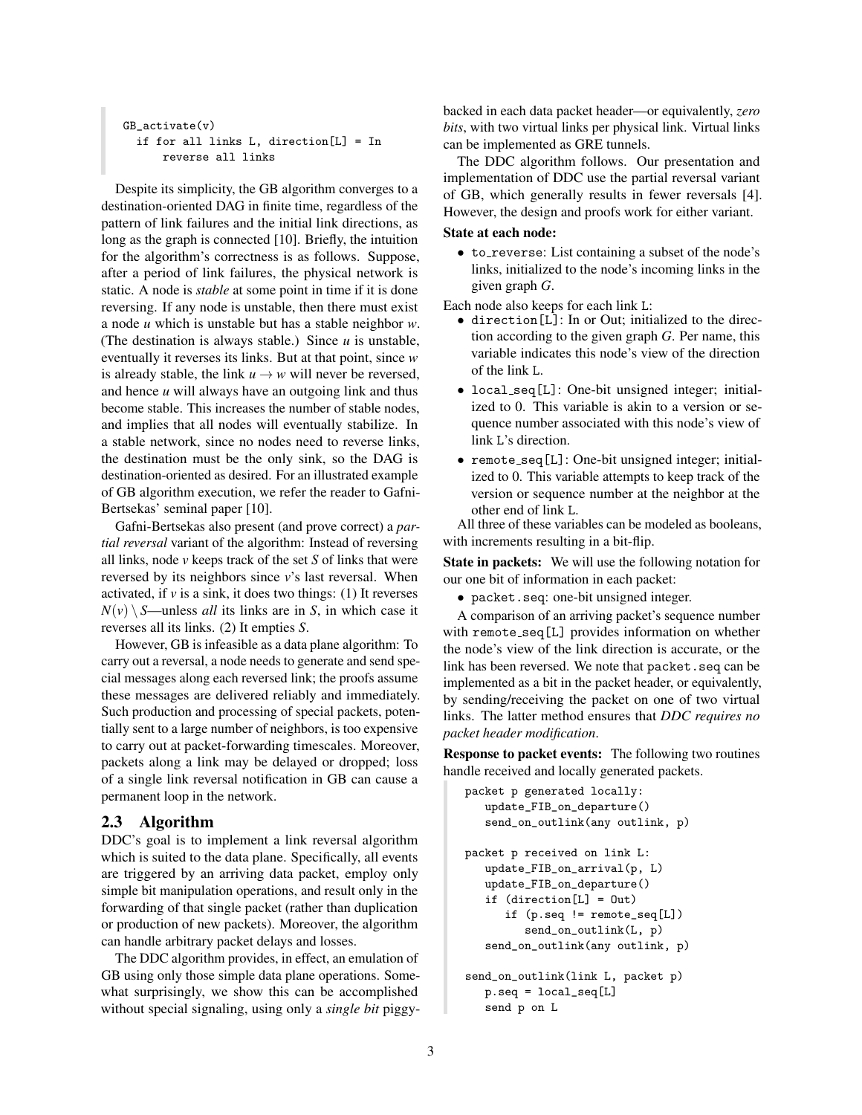```
GB_activate(v)
 if for all links L, direction[L] = In
      reverse all links
```
Despite its simplicity, the GB algorithm converges to a destination-oriented DAG in finite time, regardless of the pattern of link failures and the initial link directions, as long as the graph is connected [\[10\]](#page-12-4). Briefly, the intuition for the algorithm's correctness is as follows. Suppose, after a period of link failures, the physical network is static. A node is *stable* at some point in time if it is done reversing. If any node is unstable, then there must exist a node *u* which is unstable but has a stable neighbor *w*. (The destination is always stable.) Since *u* is unstable, eventually it reverses its links. But at that point, since *w* is already stable, the link  $u \rightarrow w$  will never be reversed, and hence *u* will always have an outgoing link and thus become stable. This increases the number of stable nodes, and implies that all nodes will eventually stabilize. In a stable network, since no nodes need to reverse links, the destination must be the only sink, so the DAG is destination-oriented as desired. For an illustrated example of GB algorithm execution, we refer the reader to Gafni-Bertsekas' seminal paper [\[10\]](#page-12-4).

Gafni-Bertsekas also present (and prove correct) a *partial reversal* variant of the algorithm: Instead of reversing all links, node *v* keeps track of the set *S* of links that were reversed by its neighbors since *v*'s last reversal. When activated, if  $\nu$  is a sink, it does two things: (1) It reverses  $N(v) \ S$ —unless *all* its links are in *S*, in which case it reverses all its links. (2) It empties *S*.

However, GB is infeasible as a data plane algorithm: To carry out a reversal, a node needs to generate and send special messages along each reversed link; the proofs assume these messages are delivered reliably and immediately. Such production and processing of special packets, potentially sent to a large number of neighbors, is too expensive to carry out at packet-forwarding timescales. Moreover, packets along a link may be delayed or dropped; loss of a single link reversal notification in GB can cause a permanent loop in the network.

# <span id="page-2-0"></span>2.3 Algorithm

DDC's goal is to implement a link reversal algorithm which is suited to the data plane. Specifically, all events are triggered by an arriving data packet, employ only simple bit manipulation operations, and result only in the forwarding of that single packet (rather than duplication or production of new packets). Moreover, the algorithm can handle arbitrary packet delays and losses.

The DDC algorithm provides, in effect, an emulation of GB using only those simple data plane operations. Somewhat surprisingly, we show this can be accomplished without special signaling, using only a *single bit* piggybacked in each data packet header—or equivalently, *zero bits*, with two virtual links per physical link. Virtual links can be implemented as GRE tunnels.

The DDC algorithm follows. Our presentation and implementation of DDC use the partial reversal variant of GB, which generally results in fewer reversals [\[4\]](#page-12-7). However, the design and proofs work for either variant.

### State at each node:

• to reverse: List containing a subset of the node's links, initialized to the node's incoming links in the given graph *G*.

Each node also keeps for each link L:

- *•* direction[L]: In or Out; initialized to the direction according to the given graph *G*. Per name, this variable indicates this node's view of the direction of the link L.
- local\_seq[L]: One-bit unsigned integer; initialized to 0. This variable is akin to a version or sequence number associated with this node's view of link L's direction.
- remote\_seq[L]: One-bit unsigned integer; initialized to 0. This variable attempts to keep track of the version or sequence number at the neighbor at the other end of link <sup>L</sup>. All three of these variables can be modeled as booleans,

with increments resulting in a bit-flip.

State in packets: We will use the following notation for our one bit of information in each packet:

*•* packet.seq: one-bit unsigned integer.

A comparison of an arriving packet's sequence number with remote\_seq[L] provides information on whether the node's view of the link direction is accurate, or the link has been reversed. We note that packet.seq can be implemented as a bit in the packet header, or equivalently, by sending/receiving the packet on one of two virtual links. The latter method ensures that *DDC requires no packet header modification*.

Response to packet events: The following two routines handle received and locally generated packets.

```
packet p generated locally:
   update_FIB_on_departure()
   send_on_outlink(any outlink, p)
packet p received on link L:
   update_FIB_on_arrival(p, L)
   update_FIB_on_departure()
   if (direction[L] = Out)
      if (p.seq != remote_seq[L])
         send_on_outlink(L, p)
   send_on_outlink(any outlink, p)
send_on_outlink(link L, packet p)
  p.seq = local_seq[L]
   send p on L
```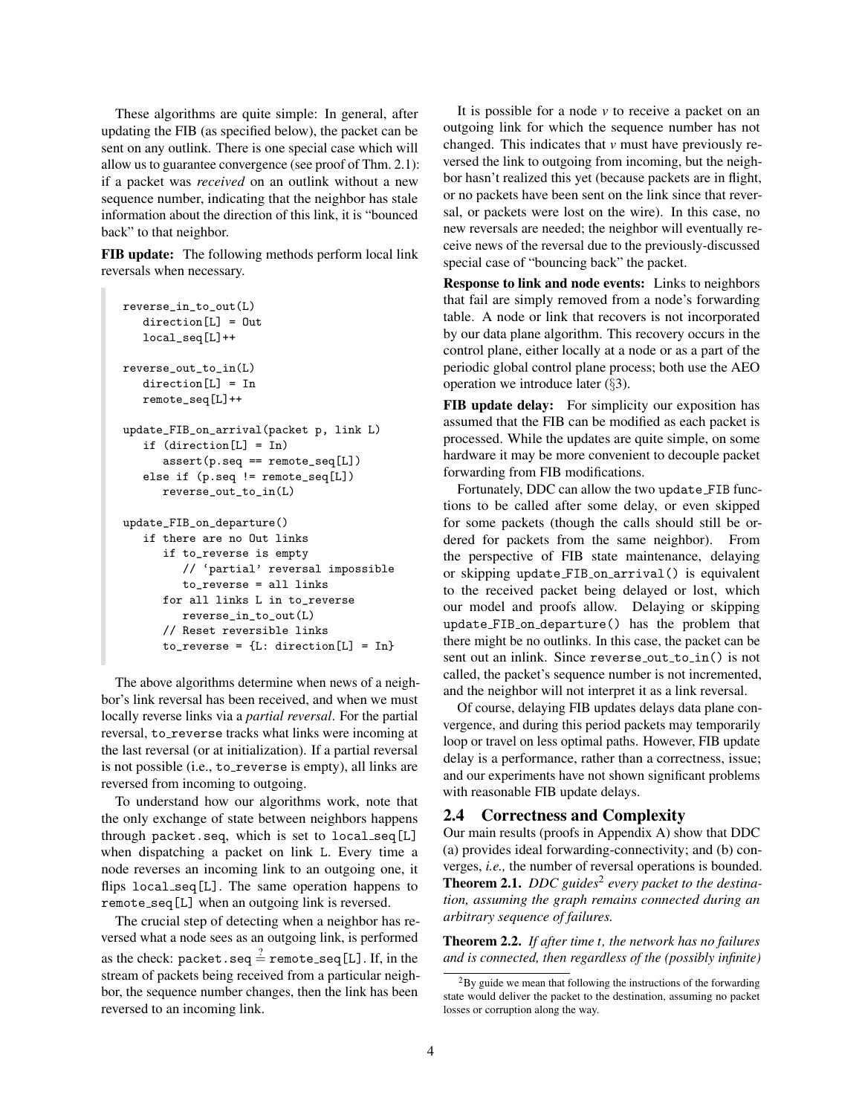These algorithms are quite simple: In general, after updating the FIB (as specified below), the packet can be sent on any outlink. There is one special case which will allow us to guarantee convergence (see proof of Thm. [2.1\)](#page-3-0): if a packet was *received* on an outlink without a new sequence number, indicating that the neighbor has stale information about the direction of this link, it is "bounced back" to that neighbor.

FIB update: The following methods perform local link reversals when necessary.

```
reverse_in_to_out(L)
   direction[L] = Out
   local_seq[L]++
reverse_out_to_in(L)
   direction[L] = In
   remote_seq[L]++
update_FIB_on_arrival(packet p, link L)
   if (direction[L] = In)
      assert(p.seq == remote_seq[L])
   else if (p.seq != remote_seq[L])
      reverse_out_to_in(L)
update_FIB_on_departure()
   if there are no Out links
      if to_reverse is empty
         // 'partial' reversal impossible
         to_reverse = all links
      for all links L in to_reverse
         reverse_in_to_out(L)
      // Reset reversible links
      to_{reverse} = \{L: direction[L] = In\}
```
The above algorithms determine when news of a neighbor's link reversal has been received, and when we must locally reverse links via a *partial reversal*. For the partial reversal, to\_reverse tracks what links were incoming at the last reversal (or at initialization). If a partial reversal is not possible (i.e., to\_reverse is empty), all links are reversed from incoming to outgoing.

To understand how our algorithms work, note that the only exchange of state between neighbors happens through packet.seq, which is set to local seq[L] when dispatching a packet on link L. Every time a node reverses an incoming link to an outgoing one, it flips local\_seq[L]. The same operation happens to remote seq[L] when an outgoing link is reversed.

The crucial step of detecting when a neighbor has reversed what a node sees as an outgoing link, is performed as the check: packet.seq  $\stackrel{?}{=}$  remote\_seq [L]. If, in the stream of packets being received from a particular neighbor, the sequence number changes, then the link has been reversed to an incoming link.

It is possible for a node *v* to receive a packet on an outgoing link for which the sequence number has not changed. This indicates that *v* must have previously reversed the link to outgoing from incoming, but the neighbor hasn't realized this yet (because packets are in flight, or no packets have been sent on the link since that reversal, or packets were lost on the wire). In this case, no new reversals are needed; the neighbor will eventually receive news of the reversal due to the previously-discussed special case of "bouncing back" the packet.

Response to link and node events: Links to neighbors that fail are simply removed from a node's forwarding table. A node or link that recovers is not incorporated by our data plane algorithm. This recovery occurs in the control plane, either locally at a node or as a part of the periodic global control plane process; both use the AEO operation we introduce later (*§*[3\)](#page-4-0).

FIB update delay: For simplicity our exposition has assumed that the FIB can be modified as each packet is processed. While the updates are quite simple, on some hardware it may be more convenient to decouple packet forwarding from FIB modifications.

Fortunately, DDC can allow the two update FIB functions to be called after some delay, or even skipped for some packets (though the calls should still be ordered for packets from the same neighbor). From the perspective of FIB state maintenance, delaying or skipping update FIB on arrival() is equivalent to the received packet being delayed or lost, which our model and proofs allow. Delaying or skipping update FIB on departure() has the problem that there might be no outlinks. In this case, the packet can be sent out an inlink. Since reverse\_out\_to\_in() is not called, the packet's sequence number is not incremented, and the neighbor will not interpret it as a link reversal.

Of course, delaying FIB updates delays data plane convergence, and during this period packets may temporarily loop or travel on less optimal paths. However, FIB update delay is a performance, rather than a correctness, issue; and our experiments have not shown significant problems with reasonable FIB update delays.

### <span id="page-3-2"></span>2.4 Correctness and Complexity

<span id="page-3-0"></span>Our main results (proofs in Appendix [A\)](#page-9-0) show that DDC (a) provides ideal forwarding-connectivity; and (b) converges, *i.e.,* the number of reversal operations is bounded. Theorem 2.1. *DDC guides*[2](#page-3-1) *every packet to the destination, assuming the graph remains connected during an arbitrary sequence of failures.*

<span id="page-3-3"></span>Theorem 2.2. *If after time t, the network has no failures and is connected, then regardless of the (possibly infinite)*

<span id="page-3-1"></span> ${}^{2}$ By guide we mean that following the instructions of the forwarding state would deliver the packet to the destination, assuming no packet losses or corruption along the way.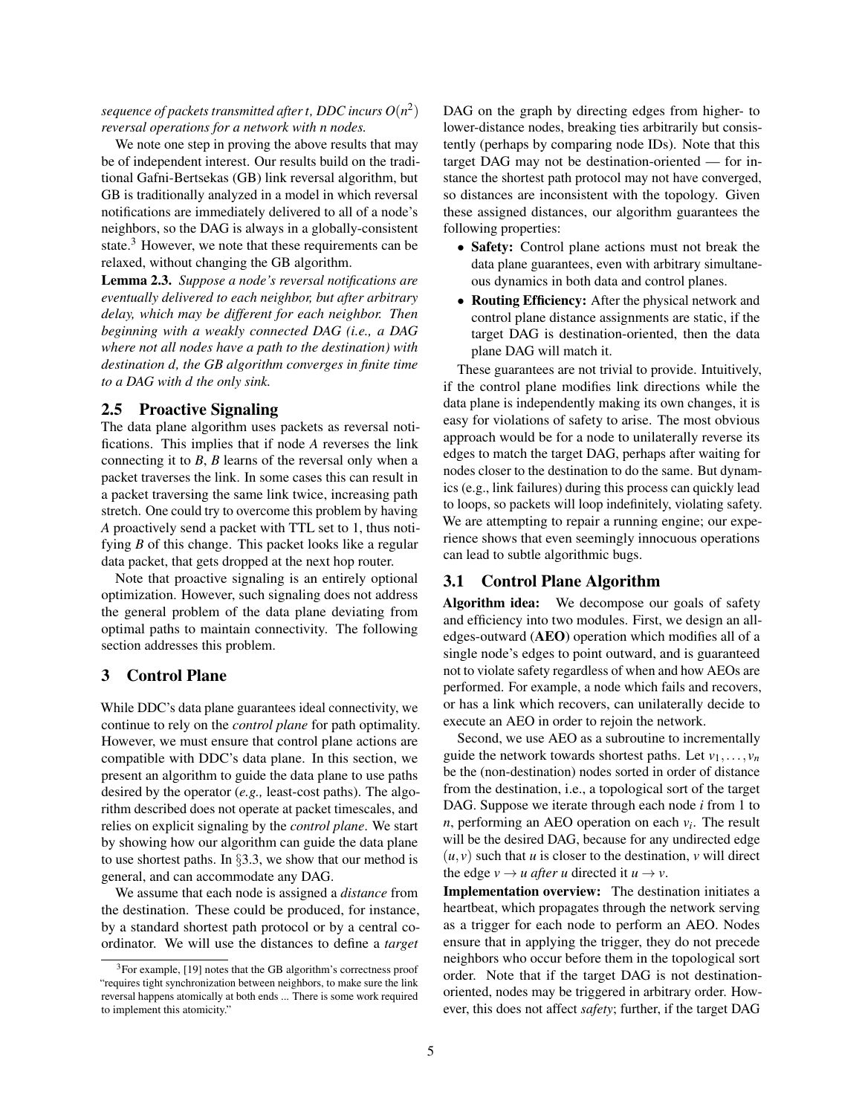*sequence of packets transmitted after t, DDC incurs*  $O(n^2)$ *reversal operations for a network with n nodes.*

We note one step in proving the above results that may be of independent interest. Our results build on the traditional Gafni-Bertsekas (GB) link reversal algorithm, but GB is traditionally analyzed in a model in which reversal notifications are immediately delivered to all of a node's neighbors, so the DAG is always in a globally-consistent state. $3$  However, we note that these requirements can be relaxed, without changing the GB algorithm.

<span id="page-4-2"></span>Lemma 2.3. *Suppose a node's reversal notifications are eventually delivered to each neighbor, but after arbitrary delay, which may be different for each neighbor. Then beginning with a weakly connected DAG (i.e., a DAG where not all nodes have a path to the destination) with destination d, the GB algorithm converges in finite time to a DAG with d the only sink.*

# 2.5 Proactive Signaling

The data plane algorithm uses packets as reversal notifications. This implies that if node *A* reverses the link connecting it to *B*, *B* learns of the reversal only when a packet traverses the link. In some cases this can result in a packet traversing the same link twice, increasing path stretch. One could try to overcome this problem by having *A* proactively send a packet with TTL set to 1, thus notifying *B* of this change. This packet looks like a regular data packet, that gets dropped at the next hop router.

Note that proactive signaling is an entirely optional optimization. However, such signaling does not address the general problem of the data plane deviating from optimal paths to maintain connectivity. The following section addresses this problem.

# <span id="page-4-0"></span>3 Control Plane

While DDC's data plane guarantees ideal connectivity, we continue to rely on the *control plane* for path optimality. However, we must ensure that control plane actions are compatible with DDC's data plane. In this section, we present an algorithm to guide the data plane to use paths desired by the operator (*e.g.,* least-cost paths). The algorithm described does not operate at packet timescales, and relies on explicit signaling by the *control plane*. We start by showing how our algorithm can guide the data plane to use shortest paths. In *§*[3.3,](#page-6-0) we show that our method is general, and can accommodate any DAG.

We assume that each node is assigned a *distance* from the destination. These could be produced, for instance, by a standard shortest path protocol or by a central coordinator. We will use the distances to define a *target*

DAG on the graph by directing edges from higher- to lower-distance nodes, breaking ties arbitrarily but consistently (perhaps by comparing node IDs). Note that this target DAG may not be destination-oriented — for instance the shortest path protocol may not have converged, so distances are inconsistent with the topology. Given these assigned distances, our algorithm guarantees the following properties:

- *•* Safety: Control plane actions must not break the data plane guarantees, even with arbitrary simultaneous dynamics in both data and control planes.
- Routing Efficiency: After the physical network and control plane distance assignments are static, if the target DAG is destination-oriented, then the data plane DAG will match it.

These guarantees are not trivial to provide. Intuitively, if the control plane modifies link directions while the data plane is independently making its own changes, it is easy for violations of safety to arise. The most obvious approach would be for a node to unilaterally reverse its edges to match the target DAG, perhaps after waiting for nodes closer to the destination to do the same. But dynamics (e.g., link failures) during this process can quickly lead to loops, so packets will loop indefinitely, violating safety. We are attempting to repair a running engine; our experience shows that even seemingly innocuous operations can lead to subtle algorithmic bugs.

# 3.1 Control Plane Algorithm

Algorithm idea: We decompose our goals of safety and efficiency into two modules. First, we design an alledges-outward (AEO) operation which modifies all of a single node's edges to point outward, and is guaranteed not to violate safety regardless of when and how AEOs are performed. For example, a node which fails and recovers, or has a link which recovers, can unilaterally decide to execute an AEO in order to rejoin the network.

Second, we use AEO as a subroutine to incrementally guide the network towards shortest paths. Let  $v_1, \ldots, v_n$ be the (non-destination) nodes sorted in order of distance from the destination, i.e., a topological sort of the target DAG. Suppose we iterate through each node *i* from 1 to *n*, performing an AEO operation on each  $v_i$ . The result will be the desired DAG, because for any undirected edge  $(u, v)$  such that *u* is closer to the destination, *v* will direct the edge  $v \rightarrow u$  *after u* directed it  $u \rightarrow v$ .

Implementation overview: The destination initiates a heartbeat, which propagates through the network serving as a trigger for each node to perform an AEO. Nodes ensure that in applying the trigger, they do not precede neighbors who occur before them in the topological sort order. Note that if the target DAG is not destinationoriented, nodes may be triggered in arbitrary order. However, this does not affect *safety*; further, if the target DAG

<span id="page-4-1"></span><sup>3</sup>For example, [\[19\]](#page-12-8) notes that the GB algorithm's correctness proof "requires tight synchronization between neighbors, to make sure the link reversal happens atomically at both ends ... There is some work required to implement this atomicity."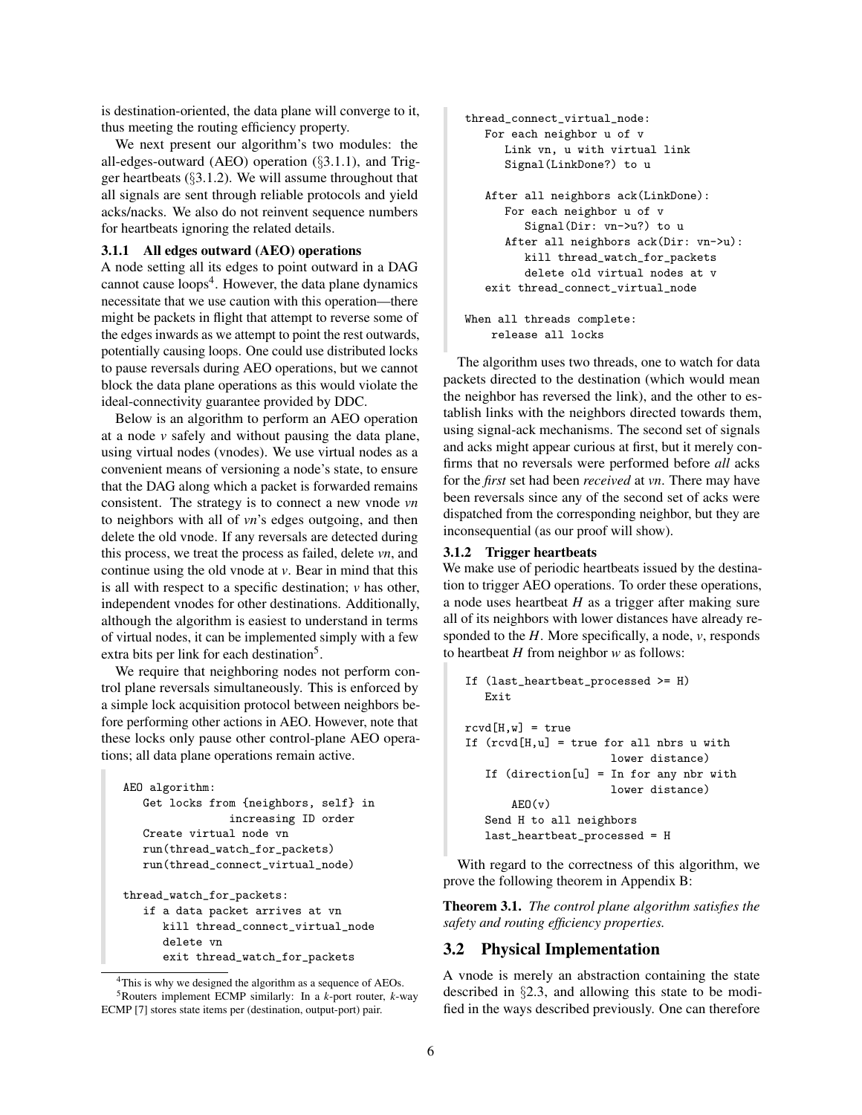is destination-oriented, the data plane will converge to it, thus meeting the routing efficiency property.

We next present our algorithm's two modules: the all-edges-outward (AEO) operation (*§*[3.1.1\)](#page-5-0), and Trigger heartbeats (*§*[3.1.2\)](#page-5-1). We will assume throughout that all signals are sent through reliable protocols and yield acks/nacks. We also do not reinvent sequence numbers for heartbeats ignoring the related details.

#### <span id="page-5-0"></span>3.1.1 All edges outward (AEO) operations

A node setting all its edges to point outward in a DAG cannot cause  $\text{loops}^4$ . However, the data plane dynamics necessitate that we use caution with this operation—there might be packets in flight that attempt to reverse some of the edges inwards as we attempt to point the rest outwards, potentially causing loops. One could use distributed locks to pause reversals during AEO operations, but we cannot block the data plane operations as this would violate the ideal-connectivity guarantee provided by DDC.

Below is an algorithm to perform an AEO operation at a node *v* safely and without pausing the data plane, using virtual nodes (vnodes). We use virtual nodes as a convenient means of versioning a node's state, to ensure that the DAG along which a packet is forwarded remains consistent. The strategy is to connect a new vnode *vn* to neighbors with all of *vn*'s edges outgoing, and then delete the old vnode. If any reversals are detected during this process, we treat the process as failed, delete *vn*, and continue using the old vnode at *v*. Bear in mind that this is all with respect to a specific destination; *v* has other, independent vnodes for other destinations. Additionally, although the algorithm is easiest to understand in terms of virtual nodes, it can be implemented simply with a few extra bits per link for each destination<sup>5</sup>.

We require that neighboring nodes not perform control plane reversals simultaneously. This is enforced by a simple lock acquisition protocol between neighbors before performing other actions in AEO. However, note that these locks only pause other control-plane AEO operations; all data plane operations remain active.

```
AEO algorithm:
   Get locks from {neighbors, self} in
                increasing ID order
   Create virtual node vn
   run(thread_watch_for_packets)
   run(thread_connect_virtual_node)
thread_watch_for_packets:
   if a data packet arrives at vn
      kill thread_connect_virtual_node
      delete vn
      exit thread_watch_for_packets
```

```
<sup>4</sup>This is why we designed the algorithm as a sequence of AEOs.
   5Routers implement ECMP similarly: In a k-port router, k-way
ECMP [7] stores state items per (destination, output-port) pair.
```

```
thread_connect_virtual_node:
   For each neighbor u of v
      Link vn, u with virtual link
      Signal(LinkDone?) to u
   After all neighbors ack(LinkDone):
      For each neighbor u of v
         Signal(Dir: vn->u?) to u
      After all neighbors ack(Dir: vn->u):
         kill thread_watch_for_packets
         delete old virtual nodes at v
   exit thread_connect_virtual_node
When all threads complete:
```
release all locks

The algorithm uses two threads, one to watch for data packets directed to the destination (which would mean the neighbor has reversed the link), and the other to establish links with the neighbors directed towards them, using signal-ack mechanisms. The second set of signals and acks might appear curious at first, but it merely confirms that no reversals were performed before *all* acks for the *first* set had been *received* at *vn*. There may have been reversals since any of the second set of acks were dispatched from the corresponding neighbor, but they are inconsequential (as our proof will show).

### <span id="page-5-1"></span>3.1.2 Trigger heartbeats

We make use of periodic heartbeats issued by the destination to trigger AEO operations. To order these operations, a node uses heartbeat *H* as a trigger after making sure all of its neighbors with lower distances have already responded to the *H*. More specifically, a node, *v*, responds to heartbeat *H* from neighbor *w* as follows:

```
If (last_heartbeat_processed >= H)
   Exit
rcvd[H,w] = trueIf (rcvd[H,u] = true for all nbrs u withlower distance)
   If (direction[u] = In for any nbr with
                      lower distance)
       AF(0(y))Send H to all neighbors
   last_heartbeat_processed = H
```
With regard to the correctness of this algorithm, we prove the following theorem in Appendix [B:](#page-11-0)

<span id="page-5-4"></span>Theorem 3.1. *The control plane algorithm satisfies the safety and routing efficiency properties.*

### 3.2 Physical Implementation

A vnode is merely an abstraction containing the state described in *§*[2.3,](#page-2-0) and allowing this state to be modified in the ways described previously. One can therefore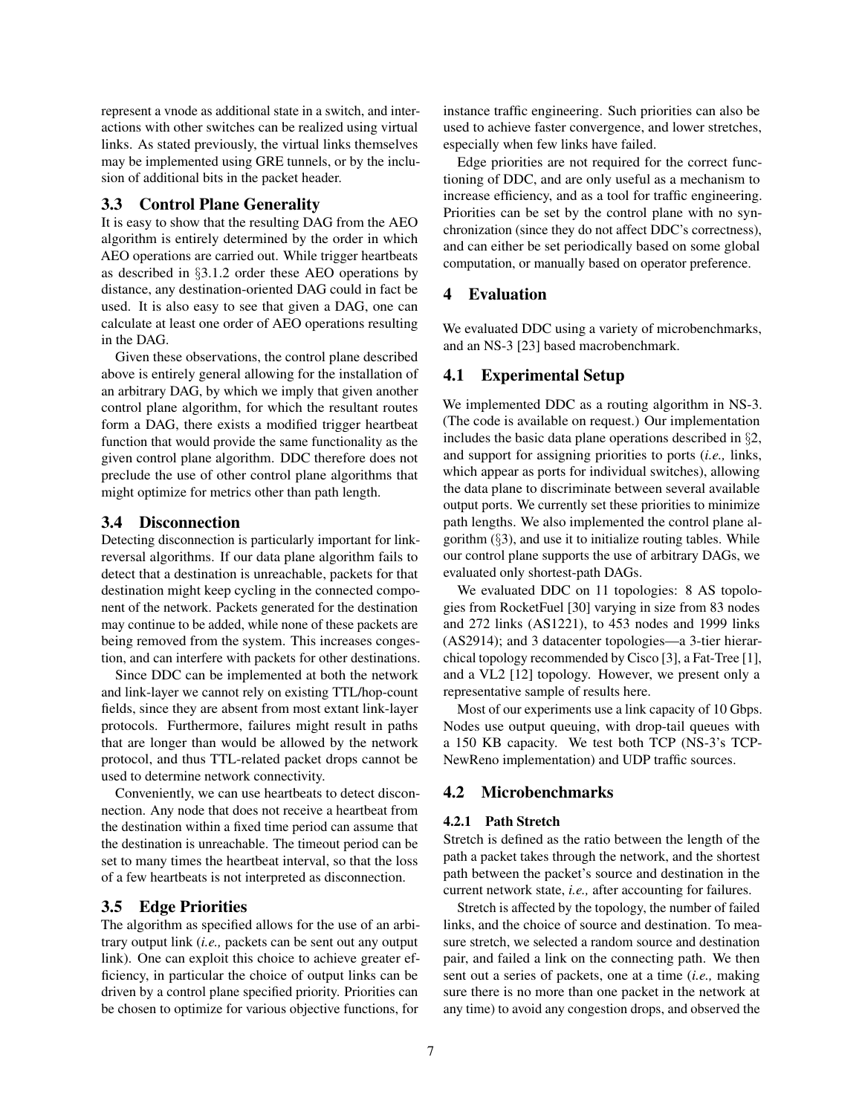represent a vnode as additional state in a switch, and interactions with other switches can be realized using virtual links. As stated previously, the virtual links themselves may be implemented using GRE tunnels, or by the inclusion of additional bits in the packet header.

## <span id="page-6-0"></span>3.3 Control Plane Generality

It is easy to show that the resulting DAG from the AEO algorithm is entirely determined by the order in which AEO operations are carried out. While trigger heartbeats as described in *§*[3.1.2](#page-5-1) order these AEO operations by distance, any destination-oriented DAG could in fact be used. It is also easy to see that given a DAG, one can calculate at least one order of AEO operations resulting in the DAG.

Given these observations, the control plane described above is entirely general allowing for the installation of an arbitrary DAG, by which we imply that given another control plane algorithm, for which the resultant routes form a DAG, there exists a modified trigger heartbeat function that would provide the same functionality as the given control plane algorithm. DDC therefore does not preclude the use of other control plane algorithms that might optimize for metrics other than path length.

### 3.4 Disconnection

Detecting disconnection is particularly important for linkreversal algorithms. If our data plane algorithm fails to detect that a destination is unreachable, packets for that destination might keep cycling in the connected component of the network. Packets generated for the destination may continue to be added, while none of these packets are being removed from the system. This increases congestion, and can interfere with packets for other destinations.

Since DDC can be implemented at both the network and link-layer we cannot rely on existing TTL/hop-count fields, since they are absent from most extant link-layer protocols. Furthermore, failures might result in paths that are longer than would be allowed by the network protocol, and thus TTL-related packet drops cannot be used to determine network connectivity.

Conveniently, we can use heartbeats to detect disconnection. Any node that does not receive a heartbeat from the destination within a fixed time period can assume that the destination is unreachable. The timeout period can be set to many times the heartbeat interval, so that the loss of a few heartbeats is not interpreted as disconnection.

# 3.5 Edge Priorities

The algorithm as specified allows for the use of an arbitrary output link (*i.e.,* packets can be sent out any output link). One can exploit this choice to achieve greater efficiency, in particular the choice of output links can be driven by a control plane specified priority. Priorities can be chosen to optimize for various objective functions, for

instance traffic engineering. Such priorities can also be used to achieve faster convergence, and lower stretches, especially when few links have failed.

Edge priorities are not required for the correct functioning of DDC, and are only useful as a mechanism to increase efficiency, and as a tool for traffic engineering. Priorities can be set by the control plane with no synchronization (since they do not affect DDC's correctness), and can either be set periodically based on some global computation, or manually based on operator preference.

# 4 Evaluation

We evaluated DDC using a variety of microbenchmarks, and an NS-3 [\[23\]](#page-12-10) based macrobenchmark.

### 4.1 Experimental Setup

We implemented DDC as a routing algorithm in NS-3. (The code is available on request.) Our implementation includes the basic data plane operations described in *§*[2,](#page-1-0) and support for assigning priorities to ports (*i.e.,* links, which appear as ports for individual switches), allowing the data plane to discriminate between several available output ports. We currently set these priorities to minimize path lengths. We also implemented the control plane algorithm (*§*[3\)](#page-4-0), and use it to initialize routing tables. While our control plane supports the use of arbitrary DAGs, we evaluated only shortest-path DAGs.

We evaluated DDC on 11 topologies: 8 AS topologies from RocketFuel [\[30\]](#page-13-5) varying in size from 83 nodes and 272 links (AS1221), to 453 nodes and 1999 links (AS2914); and 3 datacenter topologies—a 3-tier hierarchical topology recommended by Cisco [\[3\]](#page-12-11), a Fat-Tree [\[1\]](#page-12-12), and a VL2 [\[12\]](#page-12-13) topology. However, we present only a representative sample of results here.

Most of our experiments use a link capacity of 10 Gbps. Nodes use output queuing, with drop-tail queues with a 150 KB capacity. We test both TCP (NS-3's TCP-NewReno implementation) and UDP traffic sources.

# 4.2 Microbenchmarks

### 4.2.1 Path Stretch

Stretch is defined as the ratio between the length of the path a packet takes through the network, and the shortest path between the packet's source and destination in the current network state, *i.e.,* after accounting for failures.

Stretch is affected by the topology, the number of failed links, and the choice of source and destination. To measure stretch, we selected a random source and destination pair, and failed a link on the connecting path. We then sent out a series of packets, one at a time (*i.e.,* making sure there is no more than one packet in the network at any time) to avoid any congestion drops, and observed the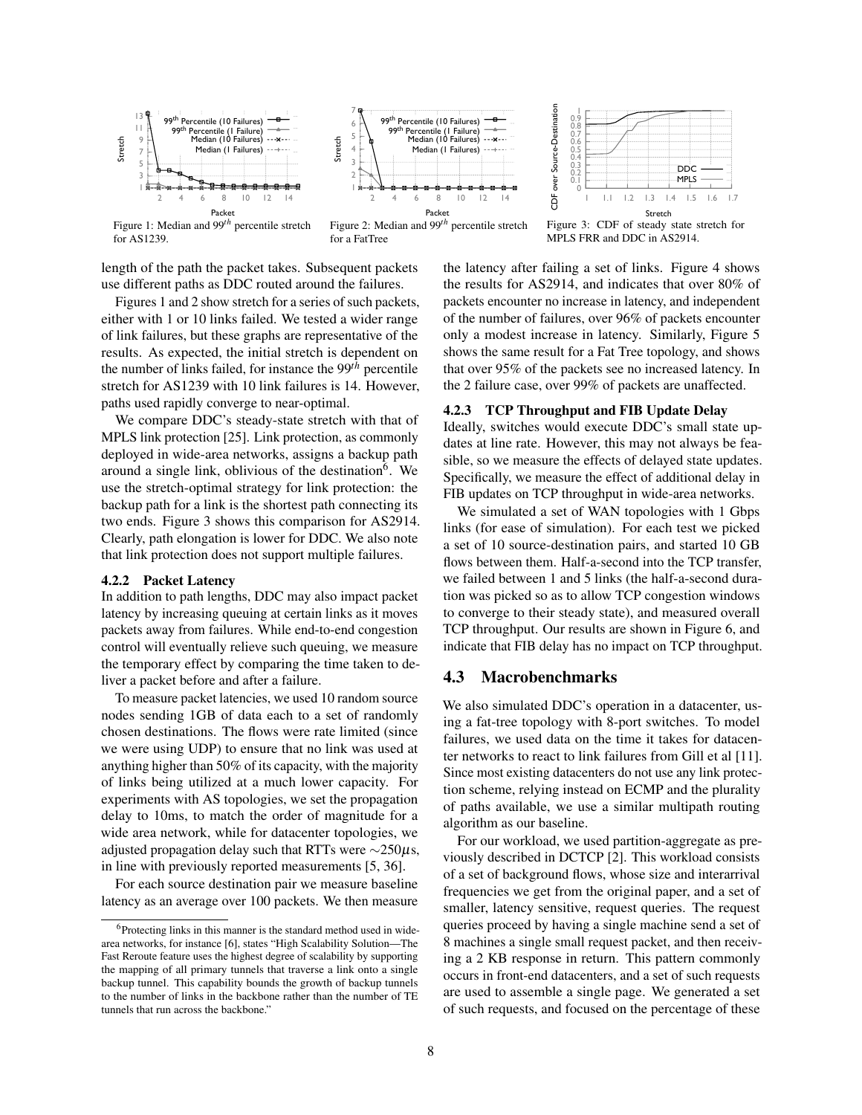<span id="page-7-0"></span>

length of the path the packet takes. Subsequent packets use different paths as DDC routed around the failures.

Figures [1](#page-7-0) and [2](#page-7-0) show stretch for a series of such packets, either with 1 or 10 links failed. We tested a wider range of link failures, but these graphs are representative of the results. As expected, the initial stretch is dependent on the number of links failed, for instance the 99*th* percentile stretch for AS1239 with 10 link failures is 14. However, paths used rapidly converge to near-optimal.

We compare DDC's steady-state stretch with that of MPLS link protection [\[25\]](#page-13-6). Link protection, as commonly deployed in wide-area networks, assigns a backup path around a single link, oblivious of the destination<sup>6</sup>. We use the stretch-optimal strategy for link protection: the backup path for a link is the shortest path connecting its two ends. Figure [3](#page-7-0) shows this comparison for AS2914. Clearly, path elongation is lower for DDC. We also note that link protection does not support multiple failures.

### 4.2.2 Packet Latency

In addition to path lengths, DDC may also impact packet latency by increasing queuing at certain links as it moves packets away from failures. While end-to-end congestion control will eventually relieve such queuing, we measure the temporary effect by comparing the time taken to deliver a packet before and after a failure.

To measure packet latencies, we used 10 random source nodes sending 1GB of data each to a set of randomly chosen destinations. The flows were rate limited (since we were using UDP) to ensure that no link was used at anything higher than 50% of its capacity, with the majority of links being utilized at a much lower capacity. For experiments with AS topologies, we set the propagation delay to 10ms, to match the order of magnitude for a wide area network, while for datacenter topologies, we adjusted propagation delay such that RTTs were  $\sim$ 250 $\mu$ s, in line with previously reported measurements [\[5,](#page-12-14) [36\]](#page-13-7).

For each source destination pair we measure baseline latency as an average over 100 packets. We then measure



Figure 3: CDF of steady state stretch for MPLS FRR and DDC in AS2914.

the latency after failing a set of links. Figure [4](#page-8-1) shows the results for AS2914, and indicates that over 80% of packets encounter no increase in latency, and independent of the number of failures, over 96% of packets encounter only a modest increase in latency. Similarly, Figure [5](#page-8-1) shows the same result for a Fat Tree topology, and shows that over 95% of the packets see no increased latency. In the 2 failure case, over 99% of packets are unaffected.

### 4.2.3 TCP Throughput and FIB Update Delay

Ideally, switches would execute DDC's small state updates at line rate. However, this may not always be feasible, so we measure the effects of delayed state updates. Specifically, we measure the effect of additional delay in FIB updates on TCP throughput in wide-area networks.

We simulated a set of WAN topologies with 1 Gbps links (for ease of simulation). For each test we picked a set of 10 source-destination pairs, and started 10 GB flows between them. Half-a-second into the TCP transfer, we failed between 1 and 5 links (the half-a-second duration was picked so as to allow TCP congestion windows to converge to their steady state), and measured overall TCP throughput. Our results are shown in Figure [6,](#page-8-1) and indicate that FIB delay has no impact on TCP throughput.

### 4.3 Macrobenchmarks

We also simulated DDC's operation in a datacenter, using a fat-tree topology with 8-port switches. To model failures, we used data on the time it takes for datacenter networks to react to link failures from Gill et al [\[11\]](#page-12-16). Since most existing datacenters do not use any link protection scheme, relying instead on ECMP and the plurality of paths available, we use a similar multipath routing algorithm as our baseline.

For our workload, we used partition-aggregate as previously described in DCTCP [\[2\]](#page-12-17). This workload consists of a set of background flows, whose size and interarrival frequencies we get from the original paper, and a set of smaller, latency sensitive, request queries. The request queries proceed by having a single machine send a set of 8 machines a single small request packet, and then receiving a 2 KB response in return. This pattern commonly occurs in front-end datacenters, and a set of such requests are used to assemble a single page. We generated a set of such requests, and focused on the percentage of these

<span id="page-7-1"></span> $6$ Protecting links in this manner is the standard method used in widearea networks, for instance [\[6\]](#page-12-15), states "High Scalability Solution—The Fast Reroute feature uses the highest degree of scalability by supporting the mapping of all primary tunnels that traverse a link onto a single backup tunnel. This capability bounds the growth of backup tunnels to the number of links in the backbone rather than the number of TE tunnels that run across the backbone."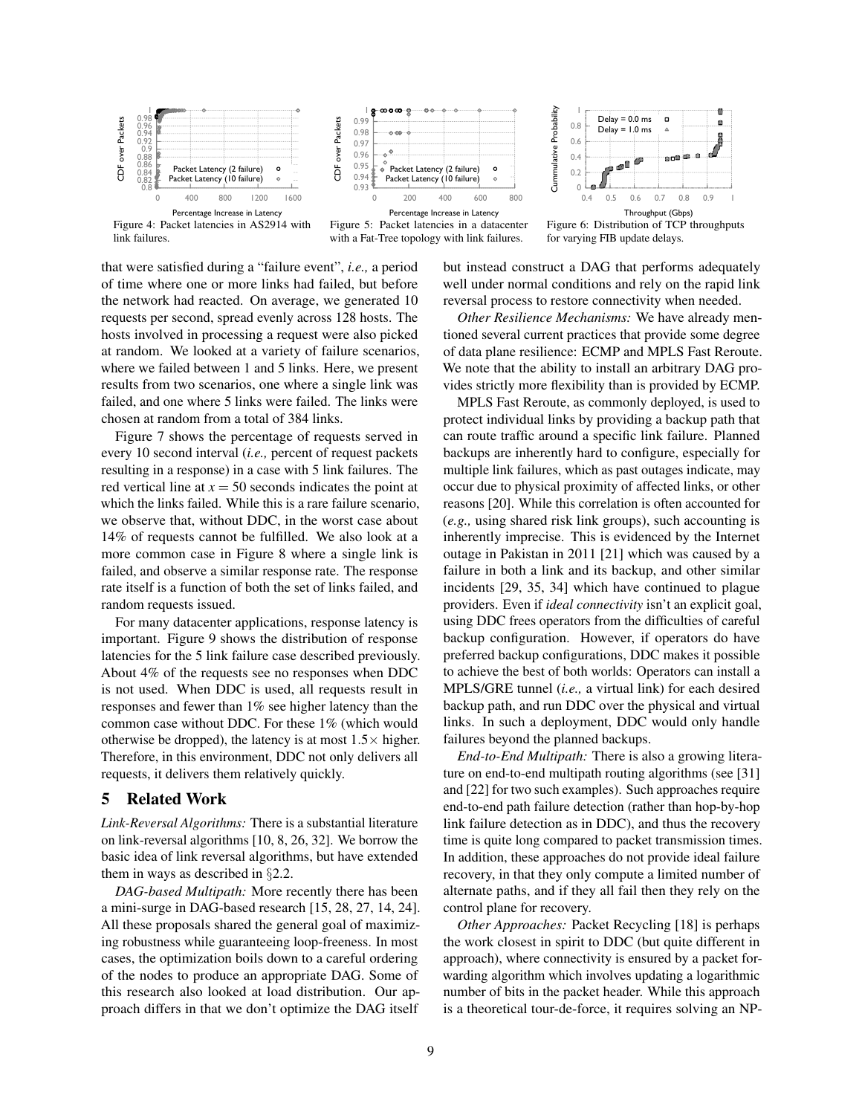<span id="page-8-1"></span>



Figure 5: Packet latencies in a datacenter with a Fat-Tree topology with link failures.



Figure 6: Distribution of TCP throughputs for varying FIB update delays.

that were satisfied during a "failure event", *i.e.,* a period of time where one or more links had failed, but before the network had reacted. On average, we generated 10 requests per second, spread evenly across 128 hosts. The hosts involved in processing a request were also picked at random. We looked at a variety of failure scenarios, where we failed between 1 and 5 links. Here, we present results from two scenarios, one where a single link was failed, and one where 5 links were failed. The links were chosen at random from a total of 384 links.

Figure [7](#page-9-1) shows the percentage of requests served in every 10 second interval (*i.e.,* percent of request packets resulting in a response) in a case with 5 link failures. The red vertical line at  $x = 50$  seconds indicates the point at which the links failed. While this is a rare failure scenario, we observe that, without DDC, in the worst case about 14% of requests cannot be fulfilled. We also look at a more common case in Figure [8](#page-9-1) where a single link is failed, and observe a similar response rate. The response rate itself is a function of both the set of links failed, and random requests issued.

For many datacenter applications, response latency is important. Figure [9](#page-9-1) shows the distribution of response latencies for the 5 link failure case described previously. About 4% of the requests see no responses when DDC is not used. When DDC is used, all requests result in responses and fewer than 1% see higher latency than the common case without DDC. For these 1% (which would otherwise be dropped), the latency is at most  $1.5 \times$  higher. Therefore, in this environment, DDC not only delivers all requests, it delivers them relatively quickly.

### <span id="page-8-0"></span>5 Related Work

*Link-Reversal Algorithms:* There is a substantial literature on link-reversal algorithms [\[10,](#page-12-4) [8,](#page-12-5) [26,](#page-13-3) [32\]](#page-13-4). We borrow the basic idea of link reversal algorithms, but have extended them in ways as described in *§*[2.2.](#page-1-1)

*DAG-based Multipath:* More recently there has been a mini-surge in DAG-based research [\[15,](#page-12-18) [28,](#page-13-8) [27,](#page-13-9) [14,](#page-12-19) [24\]](#page-13-10). All these proposals shared the general goal of maximizing robustness while guaranteeing loop-freeness. In most cases, the optimization boils down to a careful ordering of the nodes to produce an appropriate DAG. Some of this research also looked at load distribution. Our approach differs in that we don't optimize the DAG itself

but instead construct a DAG that performs adequately well under normal conditions and rely on the rapid link reversal process to restore connectivity when needed.

*Other Resilience Mechanisms:* We have already mentioned several current practices that provide some degree of data plane resilience: ECMP and MPLS Fast Reroute. We note that the ability to install an arbitrary DAG provides strictly more flexibility than is provided by ECMP.

MPLS Fast Reroute, as commonly deployed, is used to protect individual links by providing a backup path that can route traffic around a specific link failure. Planned backups are inherently hard to configure, especially for multiple link failures, which as past outages indicate, may occur due to physical proximity of affected links, or other reasons [\[20\]](#page-12-20). While this correlation is often accounted for (*e.g.,* using shared risk link groups), such accounting is inherently imprecise. This is evidenced by the Internet outage in Pakistan in 2011 [\[21\]](#page-12-0) which was caused by a failure in both a link and its backup, and other similar incidents [\[29,](#page-13-0) [35,](#page-13-2) [34\]](#page-13-1) which have continued to plague providers. Even if *ideal connectivity* isn't an explicit goal, using DDC frees operators from the difficulties of careful backup configuration. However, if operators do have preferred backup configurations, DDC makes it possible to achieve the best of both worlds: Operators can install a MPLS/GRE tunnel (*i.e.,* a virtual link) for each desired backup path, and run DDC over the physical and virtual links. In such a deployment, DDC would only handle failures beyond the planned backups.

*End-to-End Multipath:* There is also a growing literature on end-to-end multipath routing algorithms (see [\[31\]](#page-13-11) and [\[22\]](#page-12-21) for two such examples). Such approaches require end-to-end path failure detection (rather than hop-by-hop link failure detection as in DDC), and thus the recovery time is quite long compared to packet transmission times. In addition, these approaches do not provide ideal failure recovery, in that they only compute a limited number of alternate paths, and if they all fail then they rely on the control plane for recovery.

*Other Approaches:* Packet Recycling [\[18\]](#page-12-3) is perhaps the work closest in spirit to DDC (but quite different in approach), where connectivity is ensured by a packet forwarding algorithm which involves updating a logarithmic number of bits in the packet header. While this approach is a theoretical tour-de-force, it requires solving an NP-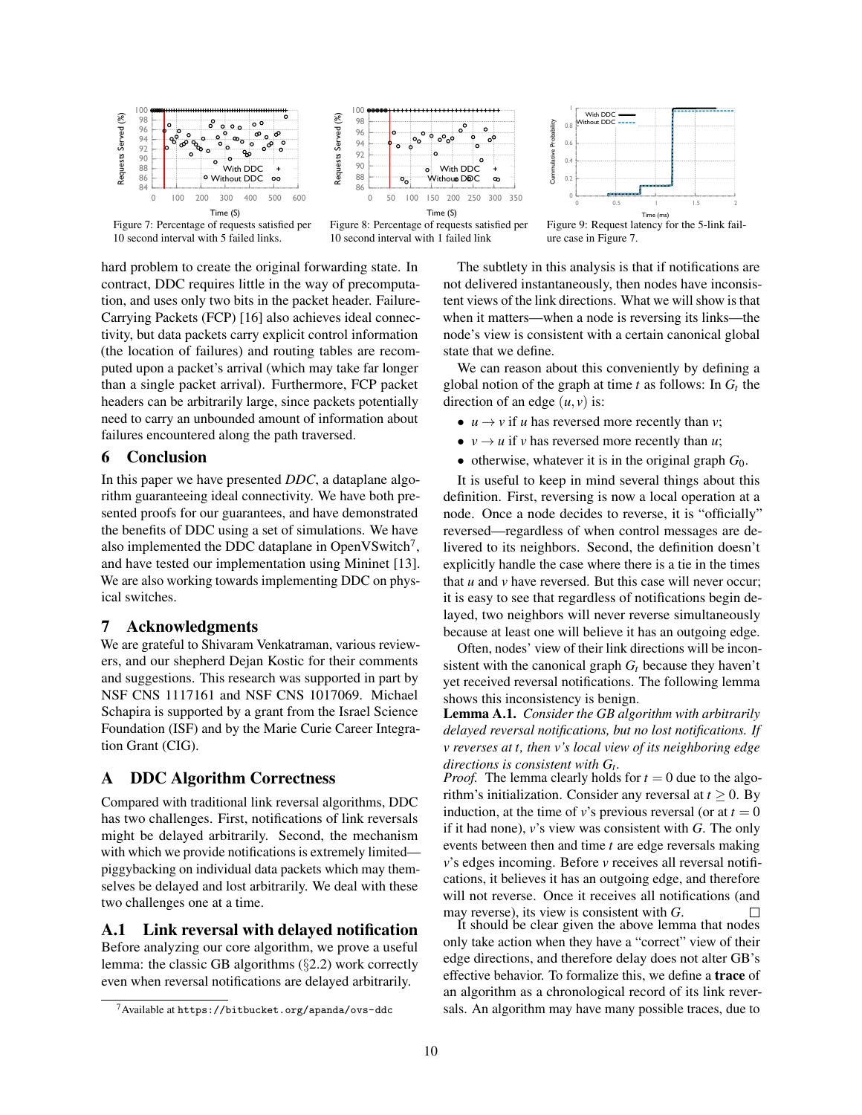<span id="page-9-1"></span>





- $0.2$  $0.4$  $0.6$ 0.8  $\theta$  $\begin{array}{ccc} 0 & & 0 \end{array}$  $.5$   $\qquad$   $\qquad$   $\qquad$   $.5$   $\qquad$  2 Cummulative Probability ummulative Probability. Time (m With DDC<br>Without DDC Figure 9: Request latency for the 5-link fail-

10 second interval with 5 failed links.

The subtlety in this analysis is that if notifications are not delivered instantaneously, then nodes have inconsistent views of the link directions. What we will show is that when it matters—when a node is reversing its links—the node's view is consistent with a certain canonical global state that we define.

ure case in Figure [7.](#page-9-1)

 $\overline{\phantom{a}}$ 

We can reason about this conveniently by defining a global notion of the graph at time  $t$  as follows: In  $G_t$  the direction of an edge  $(u, v)$  is:

- $u \rightarrow v$  if *u* has reversed more recently than *v*;
- $v \rightarrow u$  if *v* has reversed more recently than *u*;
	- otherwise, whatever it is in the original graph  $G_0$ .

It is useful to keep in mind several things about this definition. First, reversing is now a local operation at a node. Once a node decides to reverse, it is "officially" reversed—regardless of when control messages are delivered to its neighbors. Second, the definition doesn't explicitly handle the case where there is a tie in the times that  $u$  and  $v$  have reversed. But this case will never occur; it is easy to see that regardless of notifications begin delayed, two neighbors will never reverse simultaneously because at least one will believe it has an outgoing edge.

Often, nodes' view of their link directions will be inconsistent with the canonical graph  $G_t$  because they haven't yet received reversal notifications. The following lemma shows this inconsistency is benign.

<span id="page-9-3"></span>Lemma A.1. *Consider the GB algorithm with arbitrarily delayed reversal notifications, but no lost notifications. If v reverses at t, then v's local view of its neighboring edge directions is consistent with*  $G_t$ .<br>*Proof.* The lemma clearly holds for  $t = 0$  due to the algo-

rithm's initialization. Consider any reversal at  $t > 0$ . By induction, at the time of *v*'s previous reversal (or at  $t = 0$ if it had none), *v*'s view was consistent with *G*. The only events between then and time *t* are edge reversals making *v*'s edges incoming. Before *v* receives all reversal notifications, it believes it has an outgoing edge, and therefore will not reverse. Once it receives all notifications (and may reverse), its view is consistent with *G*.  $\square$ <br>It should be clear given the above lemma that nodes

only take action when they have a "correct" view of their edge directions, and therefore delay does not alter GB's effective behavior. To formalize this, we define a trace of an algorithm as a chronological record of its link reversals. An algorithm may have many possible traces, due to

hard problem to create the original forwarding state. In contract, DDC requires little in the way of precomputation, and uses only two bits in the packet header. Failure-Carrying Packets (FCP) [\[16\]](#page-12-2) also achieves ideal connectivity, but data packets carry explicit control information (the location of failures) and routing tables are recomputed upon a packet's arrival (which may take far longer than a single packet arrival). Furthermore, FCP packet headers can be arbitrarily large, since packets potentially need to carry an unbounded amount of information about failures encountered along the path traversed.

# 6 Conclusion

In this paper we have presented *DDC*, a dataplane algorithm guaranteeing ideal connectivity. We have both presented proofs for our guarantees, and have demonstrated the benefits of DDC using a set of simulations. We have also implemented the DDC dataplane in OpenVSwitch $\prime$ , and have tested our implementation using Mininet [\[13\]](#page-12-22). We are also working towards implementing DDC on physical switches.

## 7 Acknowledgments

We are grateful to Shivaram Venkatraman, various reviewers, and our shepherd Dejan Kostic for their comments and suggestions. This research was supported in part by NSF CNS 1117161 and NSF CNS 1017069. Michael Schapira is supported by a grant from the Israel Science Foundation (ISF) and by the Marie Curie Career Integration Grant (CIG).

### <span id="page-9-0"></span>A DDC Algorithm Correctness

Compared with traditional link reversal algorithms, DDC has two challenges. First, notifications of link reversals might be delayed arbitrarily. Second, the mechanism with which we provide notifications is extremely limited piggybacking on individual data packets which may themselves be delayed and lost arbitrarily. We deal with these two challenges one at a time.

<span id="page-9-4"></span>A.1 Link reversal with delayed notification

Before analyzing our core algorithm, we prove a useful lemma: the classic GB algorithms (*§*[2.2\)](#page-1-1) work correctly even when reversal notifications are delayed arbitrarily.

<span id="page-9-2"></span> $7$ Available at <https://bitbucket.org/apanda/ovs-ddc>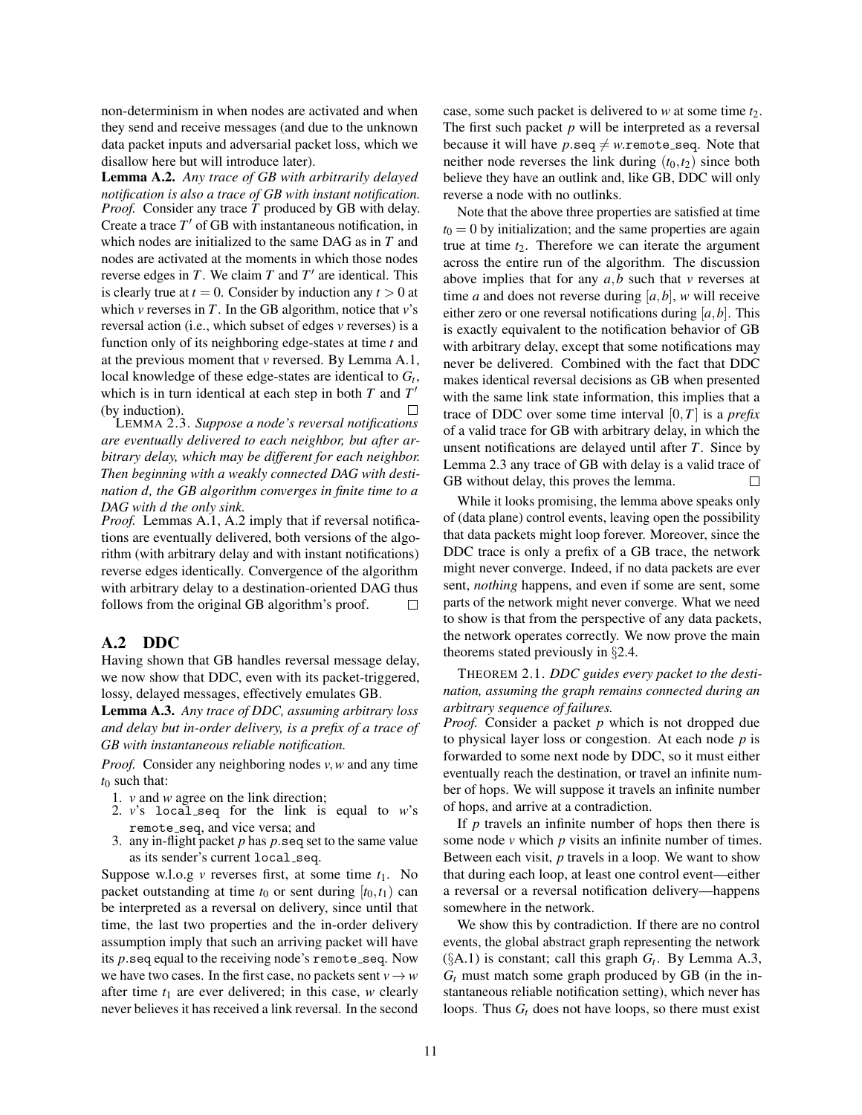non-determinism in when nodes are activated and when they send and receive messages (and due to the unknown data packet inputs and adversarial packet loss, which we disallow here but will introduce later).

<span id="page-10-0"></span>Lemma A.2. *Any trace of GB with arbitrarily delayed notification is also a trace of GB with instant notification. Proof.* Consider any trace  $\tilde{T}$  produced by GB with delay. Create a trace  $T'$  of GB with instantaneous notification, in which nodes are initialized to the same DAG as in *T* and nodes are activated at the moments in which those nodes reverse edges in  $T$ . We claim  $T$  and  $T'$  are identical. This is clearly true at  $t = 0$ . Consider by induction any  $t > 0$  at which *v* reverses in *T*. In the GB algorithm, notice that *v*'s reversal action (i.e., which subset of edges *v* reverses) is a function only of its neighboring edge-states at time *t* and at the previous moment that *v* reversed. By Lemma [A.1,](#page-9-3) local knowledge of these edge-states are identical to  $G_t$ , which is in turn identical at each step in both  $T$  and  $T'$ (by induction). П

LEMMA [2.3.](#page-4-2) *Suppose a node's reversal notifications are eventually delivered to each neighbor, but after arbitrary delay, which may be different for each neighbor. Then beginning with a weakly connected DAG with destination d, the GB algorithm converges in finite time to a DAG with d the only sink.*

*Proof.* Lemmas [A.1,](#page-9-3) [A.2](#page-10-0) imply that if reversal notifications are eventually delivered, both versions of the algorithm (with arbitrary delay and with instant notifications) reverse edges identically. Convergence of the algorithm with arbitrary delay to a destination-oriented DAG thus follows from the original GB algorithm's proof.  $\Box$ 

# A.2 DDC

Having shown that GB handles reversal message delay, we now show that DDC, even with its packet-triggered, lossy, delayed messages, effectively emulates GB.

<span id="page-10-1"></span>Lemma A.3. *Any trace of DDC, assuming arbitrary loss and delay but in-order delivery, is a prefix of a trace of GB with instantaneous reliable notification.*

*Proof.* Consider any neighboring nodes *v,w* and any time  $t_0$  such that:

- 1. *v* and *w* agree on the link direction;
- 2.  $v$ 's local seq for the link is equal to  $w$ 's remote\_seq, and vice versa; and
- 3. any in-flight packet *p* has *p.*seq set to the same value as its sender's current local\_seq.

Suppose w.l.o.g  $\nu$  reverses first, at some time  $t_1$ . No packet outstanding at time  $t_0$  or sent during  $[t_0, t_1)$  can be interpreted as a reversal on delivery, since until that time, the last two properties and the in-order delivery assumption imply that such an arriving packet will have its *p*.seq equal to the receiving node's remote\_seq. Now we have two cases. In the first case, no packets sent  $v \rightarrow w$ after time  $t_1$  are ever delivered; in this case, *w* clearly never believes it has received a link reversal. In the second case, some such packet is delivered to *w* at some time *t*<sub>2</sub>. The first such packet *p* will be interpreted as a reversal because it will have  $p$ *.*seq  $\neq$  *w.*remote\_seq. Note that neither node reverses the link during  $(t_0, t_2)$  since both believe they have an outlink and, like GB, DDC will only reverse a node with no outlinks.

Note that the above three properties are satisfied at time  $t_0 = 0$  by initialization; and the same properties are again true at time  $t_2$ . Therefore we can iterate the argument across the entire run of the algorithm. The discussion above implies that for any *a,b* such that *v* reverses at time *a* and does not reverse during  $[a,b]$ , *w* will receive either zero or one reversal notifications during [*a,b*]. This is exactly equivalent to the notification behavior of GB with arbitrary delay, except that some notifications may never be delivered. Combined with the fact that DDC makes identical reversal decisions as GB when presented with the same link state information, this implies that a trace of DDC over some time interval [0*,T*] is a *prefix* of a valid trace for GB with arbitrary delay, in which the unsent notifications are delayed until after *T*. Since by Lemma [2.3](#page-4-2) any trace of GB with delay is a valid trace of GB without delay, this proves the lemma.  $\Box$ 

While it looks promising, the lemma above speaks only of (data plane) control events, leaving open the possibility that data packets might loop forever. Moreover, since the DDC trace is only a prefix of a GB trace, the network might never converge. Indeed, if no data packets are ever sent, *nothing* happens, and even if some are sent, some parts of the network might never converge. What we need to show is that from the perspective of any data packets, the network operates correctly. We now prove the main theorems stated previously in *§*[2.4.](#page-3-2)

THEOREM [2.1.](#page-3-0) *DDC guides every packet to the destination, assuming the graph remains connected during an arbitrary sequence of failures.*

*Proof.* Consider a packet *p* which is not dropped due to physical layer loss or congestion. At each node *p* is forwarded to some next node by DDC, so it must either eventually reach the destination, or travel an infinite number of hops. We will suppose it travels an infinite number of hops, and arrive at a contradiction.

If *p* travels an infinite number of hops then there is some node *v* which *p* visits an infinite number of times. Between each visit, *p* travels in a loop. We want to show that during each loop, at least one control event—either a reversal or a reversal notification delivery—happens somewhere in the network.

We show this by contradiction. If there are no control events, the global abstract graph representing the network  $(\S A.1)$  $(\S A.1)$  is constant; call this graph  $G_t$ . By Lemma [A.3,](#page-10-1)  $G_t$  must match some graph produced by GB (in the instantaneous reliable notification setting), which never has loops. Thus  $G_t$  does not have loops, so there must exist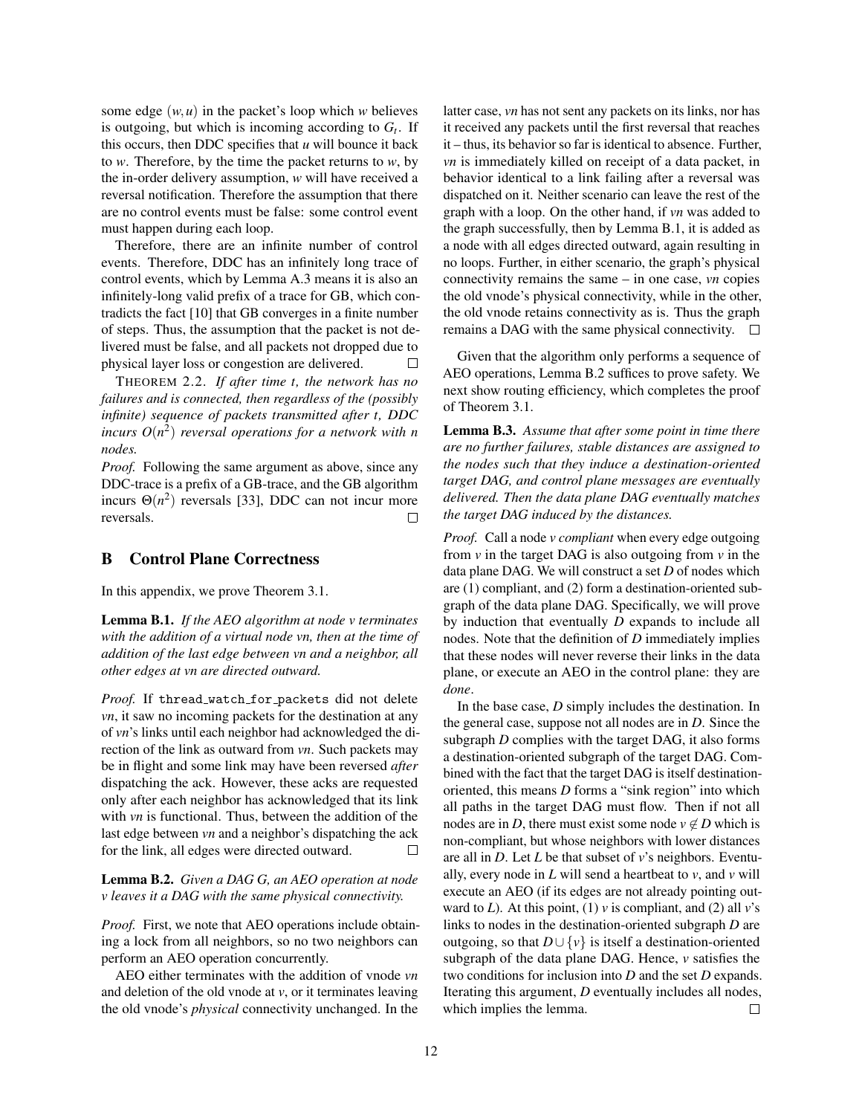some edge  $(w, u)$  in the packet's loop which *w* believes is outgoing, but which is incoming according to  $G_t$ . If this occurs, then DDC specifies that *u* will bounce it back to *w*. Therefore, by the time the packet returns to *w*, by the in-order delivery assumption, *w* will have received a reversal notification. Therefore the assumption that there are no control events must be false: some control event must happen during each loop.

Therefore, there are an infinite number of control events. Therefore, DDC has an infinitely long trace of control events, which by Lemma [A.3](#page-10-1) means it is also an infinitely-long valid prefix of a trace for GB, which contradicts the fact [\[10\]](#page-12-4) that GB converges in a finite number of steps. Thus, the assumption that the packet is not delivered must be false, and all packets not dropped due to physical layer loss or congestion are delivered.  $\Box$ 

THEOREM [2.2.](#page-3-3) *If after time t, the network has no failures and is connected, then regardless of the (possibly infinite) sequence of packets transmitted after t, DDC incurs*  $O(n^2)$  *reversal operations for a network with n nodes.*

*Proof.* Following the same argument as above, since any DDC-trace is a prefix of a GB-trace, and the GB algorithm incurs  $\Theta(n^2)$  reversals [\[33\]](#page-13-12), DDC can not incur more reversals.  $\Box$ 

# <span id="page-11-0"></span>B Control Plane Correctness

In this appendix, we prove Theorem [3.1.](#page-5-4)

<span id="page-11-1"></span>Lemma B.1. *If the AEO algorithm at node v terminates with the addition of a virtual node vn, then at the time of addition of the last edge between vn and a neighbor, all other edges at vn are directed outward.*

Proof. If thread\_watch\_for\_packets did not delete *vn*, it saw no incoming packets for the destination at any of *vn*'s links until each neighbor had acknowledged the direction of the link as outward from *vn*. Such packets may be in flight and some link may have been reversed *after* dispatching the ack. However, these acks are requested only after each neighbor has acknowledged that its link with *vn* is functional. Thus, between the addition of the last edge between *vn* and a neighbor's dispatching the ack for the link, all edges were directed outward. П

<span id="page-11-2"></span>Lemma B.2. *Given a DAG G, an AEO operation at node v leaves it a DAG with the same physical connectivity.*

*Proof.* First, we note that AEO operations include obtaining a lock from all neighbors, so no two neighbors can perform an AEO operation concurrently.

AEO either terminates with the addition of vnode *vn* and deletion of the old vnode at *v*, or it terminates leaving the old vnode's *physical* connectivity unchanged. In the latter case, *vn* has not sent any packets on its links, nor has it received any packets until the first reversal that reaches it – thus, its behavior so far is identical to absence. Further, *vn* is immediately killed on receipt of a data packet, in behavior identical to a link failing after a reversal was dispatched on it. Neither scenario can leave the rest of the graph with a loop. On the other hand, if *vn* was added to the graph successfully, then by Lemma [B.1,](#page-11-1) it is added as a node with all edges directed outward, again resulting in no loops. Further, in either scenario, the graph's physical connectivity remains the same – in one case, *vn* copies the old vnode's physical connectivity, while in the other, the old vnode retains connectivity as is. Thus the graph remains a DAG with the same physical connectivity.  $\Box$ 

Given that the algorithm only performs a sequence of AEO operations, Lemma [B.2](#page-11-2) suffices to prove safety. We next show routing efficiency, which completes the proof of Theorem [3.1.](#page-5-4)

Lemma B.3. *Assume that after some point in time there are no further failures, stable distances are assigned to the nodes such that they induce a destination-oriented target DAG, and control plane messages are eventually delivered. Then the data plane DAG eventually matches the target DAG induced by the distances.*

*Proof.* Call a node *v compliant* when every edge outgoing from  $v$  in the target DAG is also outgoing from  $v$  in the data plane DAG. We will construct a set *D* of nodes which are (1) compliant, and (2) form a destination-oriented subgraph of the data plane DAG. Specifically, we will prove by induction that eventually *D* expands to include all nodes. Note that the definition of *D* immediately implies that these nodes will never reverse their links in the data plane, or execute an AEO in the control plane: they are *done*.

In the base case, *D* simply includes the destination. In the general case, suppose not all nodes are in *D*. Since the subgraph *D* complies with the target DAG, it also forms a destination-oriented subgraph of the target DAG. Combined with the fact that the target DAG is itself destinationoriented, this means *D* forms a "sink region" into which all paths in the target DAG must flow. Then if not all nodes are in *D*, there must exist some node  $v \notin D$  which is non-compliant, but whose neighbors with lower distances are all in *D*. Let *L* be that subset of *v*'s neighbors. Eventually, every node in  $L$  will send a heartbeat to  $v$ , and  $v$  will execute an AEO (if its edges are not already pointing outward to  $L$ ). At this point, (1)  $v$  is compliant, and (2) all  $v$ 's links to nodes in the destination-oriented subgraph *D* are outgoing, so that  $D \cup \{v\}$  is itself a destination-oriented subgraph of the data plane DAG. Hence, *v* satisfies the two conditions for inclusion into *D* and the set *D* expands. Iterating this argument, *D* eventually includes all nodes, which implies the lemma.  $\Box$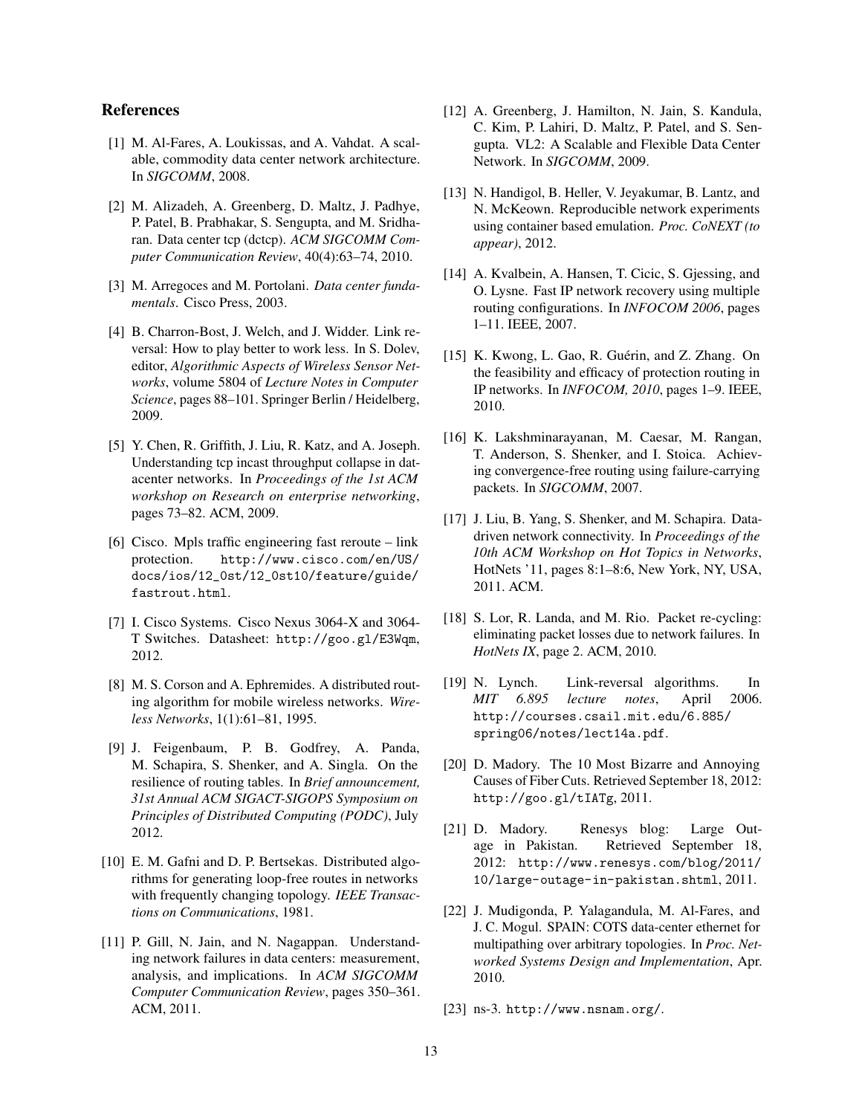# References

- <span id="page-12-12"></span>[1] M. Al-Fares, A. Loukissas, and A. Vahdat. A scalable, commodity data center network architecture. In *SIGCOMM*, 2008.
- <span id="page-12-17"></span>[2] M. Alizadeh, A. Greenberg, D. Maltz, J. Padhye, P. Patel, B. Prabhakar, S. Sengupta, and M. Sridharan. Data center tcp (dctcp). *ACM SIGCOMM Computer Communication Review*, 40(4):63–74, 2010.
- <span id="page-12-11"></span>[3] M. Arregoces and M. Portolani. *Data center fundamentals*. Cisco Press, 2003.
- <span id="page-12-7"></span>[4] B. Charron-Bost, J. Welch, and J. Widder. Link reversal: How to play better to work less. In S. Dolev, editor, *Algorithmic Aspects of Wireless Sensor Networks*, volume 5804 of *Lecture Notes in Computer Science*, pages 88–101. Springer Berlin / Heidelberg, 2009.
- <span id="page-12-14"></span>[5] Y. Chen, R. Griffith, J. Liu, R. Katz, and A. Joseph. Understanding tcp incast throughput collapse in datacenter networks. In *Proceedings of the 1st ACM workshop on Research on enterprise networking*, pages 73–82. ACM, 2009.
- <span id="page-12-15"></span>[6] Cisco. Mpls traffic engineering fast reroute – link protection. [http://www.cisco.com/en/US/](http://www.cisco.com/en/US/docs/ios/12_0st/12_0st10/feature/guide/fastrout.html) [docs/ios/12\\_0st/12\\_0st10/feature/guide/](http://www.cisco.com/en/US/docs/ios/12_0st/12_0st10/feature/guide/fastrout.html) [fastrout.html](http://www.cisco.com/en/US/docs/ios/12_0st/12_0st10/feature/guide/fastrout.html).
- <span id="page-12-9"></span>[7] I. Cisco Systems. Cisco Nexus 3064-X and 3064- T Switches. Datasheet: <http://goo.gl/E3Wqm>, 2012.
- <span id="page-12-5"></span>[8] M. S. Corson and A. Ephremides. A distributed routing algorithm for mobile wireless networks. *Wireless Networks*, 1(1):61–81, 1995.
- <span id="page-12-1"></span>[9] J. Feigenbaum, P. B. Godfrey, A. Panda, M. Schapira, S. Shenker, and A. Singla. On the resilience of routing tables. In *Brief announcement, 31st Annual ACM SIGACT-SIGOPS Symposium on Principles of Distributed Computing (PODC)*, July 2012.
- <span id="page-12-4"></span>[10] E. M. Gafni and D. P. Bertsekas. Distributed algorithms for generating loop-free routes in networks with frequently changing topology. *IEEE Transactions on Communications*, 1981.
- <span id="page-12-16"></span>[11] P. Gill, N. Jain, and N. Nagappan. Understanding network failures in data centers: measurement, analysis, and implications. In *ACM SIGCOMM Computer Communication Review*, pages 350–361. ACM, 2011.
- <span id="page-12-13"></span>[12] A. Greenberg, J. Hamilton, N. Jain, S. Kandula, C. Kim, P. Lahiri, D. Maltz, P. Patel, and S. Sengupta. VL2: A Scalable and Flexible Data Center Network. In *SIGCOMM*, 2009.
- <span id="page-12-22"></span>[13] N. Handigol, B. Heller, V. Jeyakumar, B. Lantz, and N. McKeown. Reproducible network experiments using container based emulation. *Proc. CoNEXT (to appear)*, 2012.
- <span id="page-12-19"></span>[14] A. Kvalbein, A. Hansen, T. Cicic, S. Gjessing, and O. Lysne. Fast IP network recovery using multiple routing configurations. In *INFOCOM 2006*, pages 1–11. IEEE, 2007.
- <span id="page-12-18"></span>[15] K. Kwong, L. Gao, R. Guérin, and Z. Zhang. On the feasibility and efficacy of protection routing in IP networks. In *INFOCOM, 2010*, pages 1–9. IEEE, 2010.
- <span id="page-12-2"></span>[16] K. Lakshminarayanan, M. Caesar, M. Rangan, T. Anderson, S. Shenker, and I. Stoica. Achieving convergence-free routing using failure-carrying packets. In *SIGCOMM*, 2007.
- <span id="page-12-6"></span>[17] J. Liu, B. Yang, S. Shenker, and M. Schapira. Datadriven network connectivity. In *Proceedings of the 10th ACM Workshop on Hot Topics in Networks*, HotNets '11, pages 8:1–8:6, New York, NY, USA, 2011. ACM.
- <span id="page-12-3"></span>[18] S. Lor, R. Landa, and M. Rio. Packet re-cycling: eliminating packet losses due to network failures. In *HotNets IX*, page 2. ACM, 2010.
- <span id="page-12-8"></span>[19] N. Lynch. Link-reversal algorithms. In *MIT 6.895 lecture notes*, April 2006. [http://courses.csail.mit.edu/6.885/](http://courses.csail.mit.edu/6.885/spring06/notes/lect14a.pdf) [spring06/notes/lect14a.pdf](http://courses.csail.mit.edu/6.885/spring06/notes/lect14a.pdf).
- <span id="page-12-20"></span>[20] D. Madory. The 10 Most Bizarre and Annoying Causes of Fiber Cuts. Retrieved September 18, 2012: <http://goo.gl/tIATg>, 2011.
- <span id="page-12-0"></span>[21] D. Madory. Renesys blog: Large Outage in Pakistan. Retrieved September 18, 2012: [http://www.renesys.com/blog/2011/](http://www.renesys.com/blog/2011/10/large-outage-in-pakistan.shtml) [10/large-outage-in-pakistan.shtml](http://www.renesys.com/blog/2011/10/large-outage-in-pakistan.shtml), 2011.
- <span id="page-12-21"></span>[22] J. Mudigonda, P. Yalagandula, M. Al-Fares, and J. C. Mogul. SPAIN: COTS data-center ethernet for multipathing over arbitrary topologies. In *Proc. Networked Systems Design and Implementation*, Apr. 2010.
- <span id="page-12-10"></span>[23] ns-3. <http://www.nsnam.org/>.